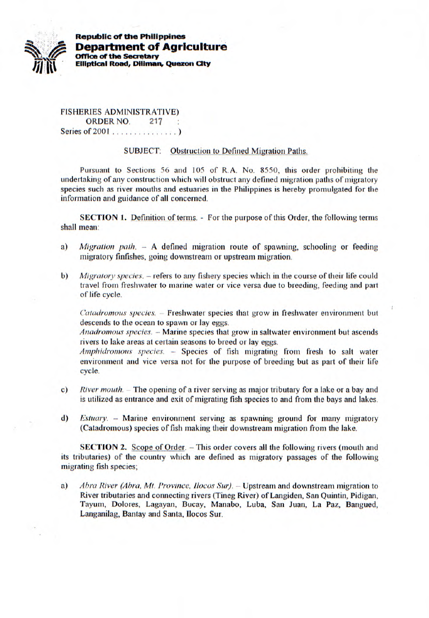

**Republic of the Philippines Department of Agriculture Office of the Seaetary Elliptical Road, Diliman, Quezon City** 

FISHERIES ADMINISTRATIVE) ORDER NO. 217 : Series of 2001 ...............)

## SUBJECT: Obstruction to Defined Migration Paths.

Pursuant to Sections *56* and *105* of R.A. No. *8550,* this order prohibiting the undertaking of any construction which will obstruct any defined migration paths of migratory species such as river mouths and estuaries in the Philippines is hereby promulgated for the information and guidance of all concerned.

**SECTION 1.** Definition of terms. - For the purpose of this Order, the following terms shall mean:

- a) *Migration path.* A defined migration route of spawning, schooling or feeding migratory finfishes, going downstream or upstream migration.
- *b) Migratory species.* refers to any fishery species which in the course of their life could travel from freshwater to marine water or vice versa due to breeding, feeding and part of life cycle.

*Catadromous species.* -- Freshwater species that grow in freshwater environment but descends to the ocean to spawn or lay eggs.

*Anadromous species.* - Marine species that grow in saltwater environment but ascends rivers to lake areas at certain seasons to breed or lay eggs.

*Amphidrornous species. -* Species of fish migrating from fresh to salt water environment and vice versa not for the purpose of breeding but as part of their life cycle.

- *c) River inouth.* The opening of a river serving as major tributary for a lake or a bay and is utilized as entrance and exit of migrating fish species to and from the bays and lakes.
- *d) Estuary.*  Marine environment serving as spawning ground for many migratory (Catadromous) species of fish making their downstream migration from the lake.

**SECTION 2.** Scope of Order. - This order covers all the following rivers (mouth and its tributaries) of the country which are defined as migratory passages of the following migrating fish species;

a) *Abra River (Abra, Mt. Province, Ilocos Sur). -* Upstream and downstream migration to River tributaries and connecting rivers (Tineg River) of Langiden, San Quintin, Pidigan, Tayum, Dolores, Lagayan, Bucay, Manabo, Luba, San Juan, La Paz, Bangued, Langanilag, Bantay and Santa, Ilocos Sur.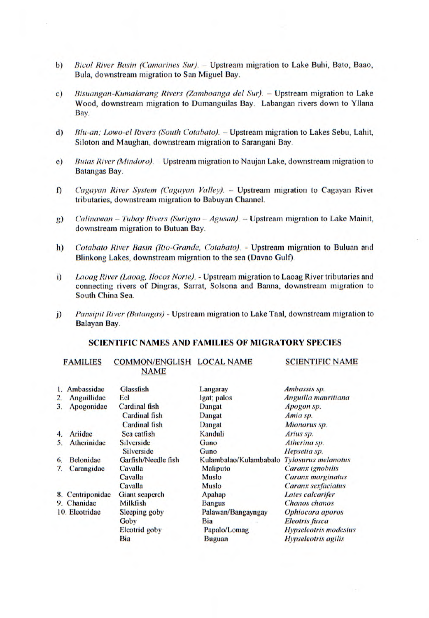- *b) Bicol River Basin (Camarines Sur).* -- Upstream migration to Lake Buhi, Bato, Baao, Bula, downstream migration to San Miguel Bay.
- *c*) *Bisuangan-Kumalarang Rivers (Zamboanga del Sur).* Upstream migration to Lake Wood, downstream migration to Dumanguilas Bay. Labangan rivers down to Yllana Bay.
- *d) Blu-an; Lowo-el Rivers (South Cotabato).* Upstream migration to Lakes Sebu, Lahit, Siloton and Maughan, downstream migration to Sarangani Bay.
- *e) Butas River (Mindoro).* Upstream migration to Naujan Lake, downstream migration to Batangas Bay.
- *Cagayan River System (Cagayan Valley).* Upstream migration to Cagayan River  $\mathbf{f}$ tributaries, downstream migration to Babuyan Channel.
- g) *Calinawan Tubay Rivers (Surigao Agusan).* Upstream migration to Lake Mainit, downstream migration to Butuan Bay.
- h) *Cotabato River Basin (Rio-Grande, Cotabato).* Upstream migration to Buluan and Blinkong Lakes, downstream migration to the sea (Davao Gulf).
- *i*) Laoag River (Laoag, *Ilocos Norte).* Upstream migration to Laoag River tributaries and connecting rivers of Dingras, Sarrat, Solsona and Banna, downstream migration to South China Sea.
- *j) Pansipit River (Batangas) Upstream migration to Lake Taal, downstream migration to* Balayan Bay.

## **SCIENTIFIC NAMES AND FAMILIES OF MIGRATORY SPECIES**

FAMILIES COMMON/ENGLISH LOCAL **NAME NAME** 

SCIENTIFIC NAME

|    | 1. Ambassidae    | Glassfish             | Langaray               | Ambassis sp.                 |
|----|------------------|-----------------------|------------------------|------------------------------|
| 2. | Anguillidae      | Eel                   | Igat; palos            | Anguilla mauritiana          |
| 3. | Apogonidae       | <b>Cardinal fish</b>  | <b>Dangat</b>          | Apogon sp.                   |
|    |                  | Cardinal fish         | <b>Dangat</b>          | Amia sp.                     |
|    |                  | <b>Cardinal fish</b>  | Dangat                 | Mionorus sp.                 |
| 4. | Ariidae          | Sea catfish           | Kanduli                | Arius sp.                    |
| 5. | Atherinidae      | <b>Silverside</b>     | Guno                   | Atherina sp.                 |
|    |                  | <b>Silverside</b>     | Guno                   | Hepsetia sp.                 |
| 6. | <b>Belonidae</b> | Garfish/Needle fish   | Kulambalao/Kulambabalo | <b>Tylosurus melanotus</b>   |
| 7. | Carangidae       | Cavalla               | <b>Maliputo</b>        | Caranx ignobilis             |
|    |                  | Cavalla               | <b>Muslo</b>           | Caranx marginatus            |
|    |                  | Cavalla               | Muslo                  | Caranx sexfaciatus           |
|    | 8. Centriponidae | <b>Giant seaperch</b> | <b>Apahap</b>          | Lates calcarifer             |
|    | 9. Chanidae      | Milkfish              | <b>Bangus</b>          | Chanos chanos                |
|    | 10. Eleotridae   | <b>Sleeping goby</b>  | Palawan/Bangayngay     | Ophiocara aporos             |
|    |                  | Goby                  | Bia                    | <b>Eleotris</b> fusca        |
|    |                  | <b>Eleotrid</b> goby  | Papalo/Lomag           | <b>Hypseleotris</b> modestus |
|    |                  | Bia                   | <b>Buguan</b>          | <b>Hypseleotris</b> agilis   |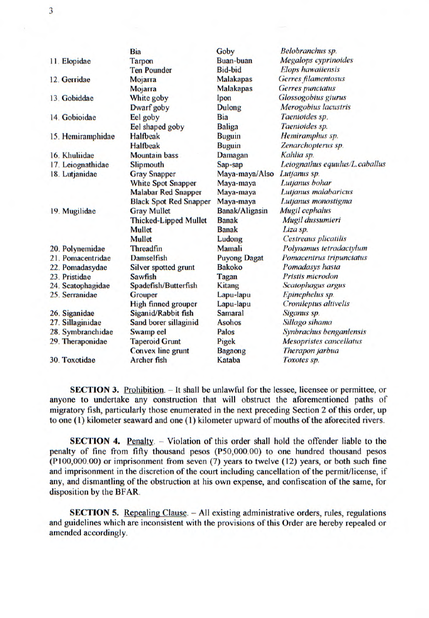|                   | Bia                           | Goby                | Belobranchus sp.               |
|-------------------|-------------------------------|---------------------|--------------------------------|
| 11. Elopidae      | <b>Tarpon</b>                 | <b>Buan-buan</b>    | <b>Megalops</b> cyprinoides    |
|                   | <b>Ten Pounder</b>            | <b>Bid-bid</b>      | <b>Elops hawaiiensis</b>       |
| 12. Gerridae      | Mojarra                       | <b>Malakapas</b>    | <b>Gerres filamentosus</b>     |
|                   | Mojarra                       | <b>Malakapas</b>    | <b>Gerres</b> punctatus        |
| 13. Gobiddae      | White goby                    | Ipon                | <b>Glossogobius giurus</b>     |
|                   | Dwarf goby                    | <b>Dulong</b>       | Merogobius lacustris           |
| 14. Gobioidae     | Eel goby                      | <b>Bia</b>          | Taenioides sp.                 |
|                   | Eel shaped goby               | <b>Baliga</b>       | Taenioides sp.                 |
| 15. Hemiramphidae | <b>Halfbeak</b>               | <b>Buguin</b>       | Hemiramphus sp.                |
|                   | <b>Halfbeak</b>               | <b>Buguin</b>       | Zenarchopterus sp.             |
| 16. Khuliidae     | <b>Mountain bass</b>          | <b>Damagan</b>      | Kahlia sp.                     |
| 17. Leiognathidae | <b>Slipmouth</b>              | Sap-sap             | Leiognathus equulus/L.caballus |
| 18. Lutjanidae    | <b>Gray Snapper</b>           | Maya-maya/Also      | Lutjanus sp.                   |
|                   | <b>White Spot Snapper</b>     | Maya-maya           | Lutjanus bohar                 |
|                   | <b>Malabar Red Snapper</b>    | Maya-maya           | Lutjanus malabaricus           |
|                   | <b>Black Spot Red Snapper</b> | Maya-maya           | Lutjanus monostigma            |
| 19. Mugilidae     | <b>Gray Mullet</b>            | Banak/Aligasin      | Mugil cephalus                 |
|                   | <b>Thicked-Lipped Mullet</b>  | <b>Banak</b>        | Mugil dussumieri               |
|                   | <b>Mullet</b>                 | <b>Banak</b>        | Liza sp.                       |
|                   | <b>Mullet</b>                 | Ludong              | <b>Cestreaus plicatilis</b>    |
| 20. Polynemidae   | <b>Threadfin</b>              | Mamali              | Polynamus tetradactylum        |
| 21. Pomacentridae | <b>Damselfish</b>             | <b>Puyong Dagat</b> | Pomacentrus tripunctatus       |
| 22. Pomadasydae   | <b>Silver spotted grunt</b>   | <b>Bakoko</b>       | Pomadasys hasta                |
| 23. Pristidae     | <b>Sawfish</b>                | Tagan               | Pristis microdon               |
| 24. Scatophagidae | Spadefish/Butterfish          | <b>Kitang</b>       | Scatophagus argus              |
| 25. Serranidae    | <b>Grouper</b>                | Lapu-lapu           | Epinephelus sp.                |
|                   | <b>High finned grouper</b>    | Lapu-lapu           | Cronileptus altivelis          |
| 26. Siganidae     | Siganid/Rabbit fish           | <b>Samaral</b>      | Siganus sp.                    |
| 27. Sillaginidae  | Sand borer sillaginid         | <b>Asohos</b>       | Sillago sihama                 |
| 28. Symbranchidae | Swamp eel                     | Palos               | Synbrachus benganlensis        |
| 29. Theraponidae  | <b>Taperoid Grunt</b>         | Pigek               | <b>Mesopristes cancellatus</b> |
|                   | <b>Convex line grunt</b>      | <b>Bagaong</b>      | Therapon jarbua                |
| 30. Toxotidae     | <b>Archer fish</b>            | Kataba              | Toxotes sp.                    |

**SECTION 3.** Prohibition. - It shall be unlawful for the lessee, licensee or permittee, or anyone to undertake any construction that will obstruct the aforementioned paths of migratory fish, particularly those enumerated in the next preceding Section 2 of this order, up to one (1) kilometer seaward and one (1) kilometer upward of mouths of the aforecited rivers.

**SECTION 4.** Penalty. - Violation of this order shall hold the offender liable to the penalty of fine from fifty thousand pesos (P50,000.00) to one hundred thousand pesos  $(P100,000.00)$  or imprisonment from seven  $(7)$  years to twelve  $(12)$  years, or both such fine and imprisonment in the discretion of the court including cancellation of the permit/license, if any, and dismantling of the obstruction at his own expense, and confiscation of the same, for disposition by the BFAR.

**SECTION 5.** Repealing Clause. - All existing administrative orders, rules, regulations and guidelines which are inconsistent with the provisions of this Order are hereby repealed or amended accordingly.

3